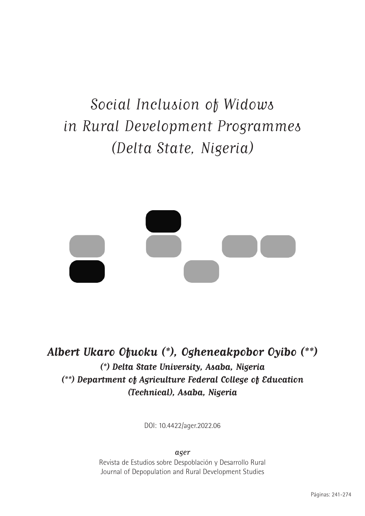# Social Inclusion of Widows in Rural Development Programmes (Delta State, Nigeria)



**Albert Ukaro Ofuoku (\*), Ogheneakpobor Oyibo (\*\*) (\*) Delta State University, Asaba, Nigeria (\*\*) Department of Agriculture Federal College of Education (Technical), Asaba, Nigeria**

DOI: 10.4422/ager.2022.06

ager

Revista de Estudios sobre Despoblación y Desarrollo Rural Journal of Depopulation and Rural Development Studies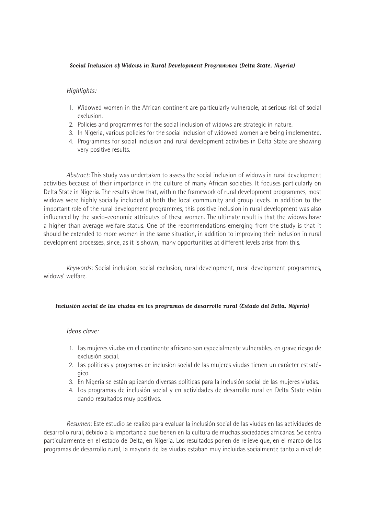#### **Social Inclusion of Widows in Rural Development Programmes (Delta State, Nigeria)**

#### *Highlights:*

- 1. Widowed women in the African continent are particularly vulnerable, at serious risk of social exclusion.
- 2. Policies and programmes for the social inclusion of widows are strategic in nature.
- 3. In Nigeria, various policies for the social inclusion of widowed women are being implemented.
- 4. Programmes for social inclusion and rural development activities in Delta State are showing very positive results.

*Abstract:* This study was undertaken to assess the social inclusion of widows in rural development activities because of their importance in the culture of many African societies. It focuses particularly on Delta State in Nigeria. The results show that, within the framework of rural development programmes, most widows were highly socially included at both the local community and group levels. In addition to the important role of the rural development programmes, this positive inclusion in rural development was also influenced by the socio-economic attributes of these women. The ultimate result is that the widows have a higher than average welfare status. One of the recommendations emerging from the study is that it should be extended to more women in the same situation, in addition to improving their inclusion in rural development processes, since, as it is shown, many opportunities at different levels arise from this.

*Keywords*: Social inclusion, social exclusion, rural development, rural development programmes, widows' welfare.

#### **Inclusión social de las viudas en los programas de desarrollo rural (Estado del Delta, Nigeria)**

#### *Ideas clave:*

- 1. Las mujeres viudas en el continente africano son especialmente vulnerables, en grave riesgo de exclusión social.
- 2. Las políticas y programas de inclusión social de las mujeres viudas tienen un carácter estratégico.
- 3. En Nigeria se están aplicando diversas políticas para la inclusión social de las mujeres viudas.
- 4. Los programas de inclusión social y en actividades de desarrollo rural en Delta State están dando resultados muy positivos.

*Resumen:* Este estudio se realizó para evaluar la inclusión social de las viudas en las actividades de desarrollo rural, debido a la importancia que tienen en la cultura de muchas sociedades africanas. Se centra particularmente en el estado de Delta, en Nigeria. Los resultados ponen de relieve que, en el marco de los programas de desarrollo rural, la mayoría de las viudas estaban muy incluidas socialmente tanto a nivel de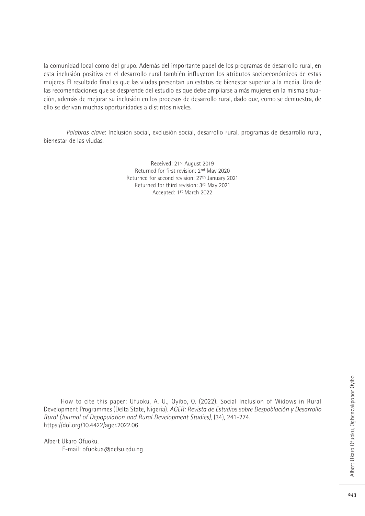la comunidad local como del grupo. Además del importante papel de los programas de desarrollo rural, en esta inclusión positiva en el desarrollo rural también influyeron los atributos socioeconómicos de estas mujeres. El resultado final es que las viudas presentan un estatus de bienestar superior a la media. Una de las recomendaciones que se desprende del estudio es que debe ampliarse a más mujeres en la misma situación, además de mejorar su inclusión en los procesos de desarrollo rural, dado que, como se demuestra, de ello se derivan muchas oportunidades a distintos niveles.

*Palabras clave*: Inclusión social, exclusión social, desarrollo rural, programas de desarrollo rural, bienestar de las viudas.

> Received: 21st August 2019 Returned for first revision: 2nd May 2020 Returned for second revision: 27th January 2021 Returned for third revision: 3rd May 2021 Accepted: 1st March 2022

How to cite this paper: Ufuoku, A. U., Oyibo, O. (2022). Social Inclusion of Widows in Rural Development Programmes (Delta State, Nigeria). *AGER: Revista de Estudios sobre Despoblación y Desarrollo Rural (Journal of Depopulation and Rural Development Studies),* (34), 241-274. https://doi.org/10.4422/ager.2022.06

Albert Ukaro Ofuoku. E-mail: ofuokua@delsu.edu.ng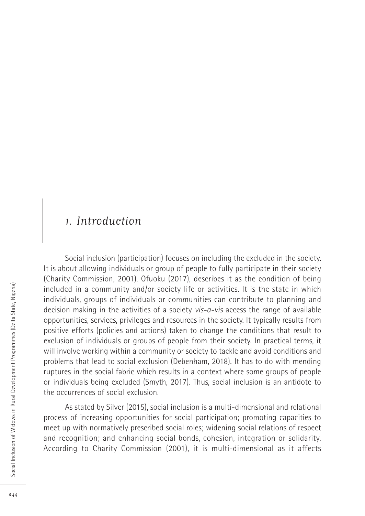## 1. Introduction

Social inclusion (participation) focuses on including the excluded in the society. It is about allowing individuals or group of people to fully participate in their society (Charity Commission, 2001). Ofuoku (2017), describes it as the condition of being included in a community and/or society life or activities. It is the state in which individuals, groups of individuals or communities can contribute to planning and decision making in the activities of a society *vis-a-vis* access the range of available opportunities, services, privileges and resources in the society. It typically results from positive efforts (policies and actions) taken to change the conditions that result to exclusion of individuals or groups of people from their society. In practical terms, it will involve working within a community or society to tackle and avoid conditions and problems that lead to social exclusion (Debenham, 2018). It has to do with mending ruptures in the social fabric which results in a context where some groups of people or individuals being excluded (Smyth, 2017). Thus, social inclusion is an antidote to the occurrences of social exclusion.

As stated by Silver (2015), social inclusion is a multi-dimensional and relational process of increasing opportunities for social participation; promoting capacities to meet up with normatively prescribed social roles; widening social relations of respect and recognition; and enhancing social bonds, cohesion, integration or solidarity. According to Charity Commission (2001), it is multi-dimensional as it affects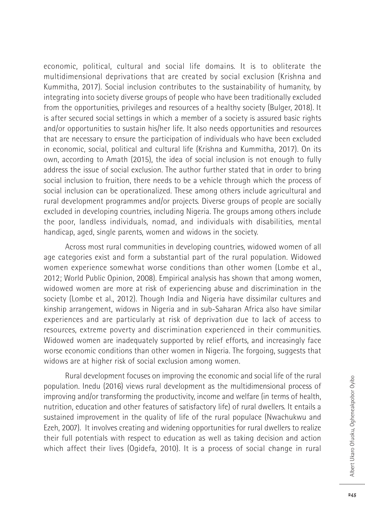economic, political, cultural and social life domains. It is to obliterate the multidimensional deprivations that are created by social exclusion (Krishna and Kummitha, 2017). Social inclusion contributes to the sustainability of humanity, by integrating into society diverse groups of people who have been traditionally excluded from the opportunities, privileges and resources of a healthy society (Bulger, 2018). It is after secured social settings in which a member of a society is assured basic rights and/or opportunities to sustain his/her life. It also needs opportunities and resources that are necessary to ensure the participation of individuals who have been excluded in economic, social, political and cultural life (Krishna and Kummitha, 2017). On its own, according to Amath (2015), the idea of social inclusion is not enough to fully address the issue of social exclusion. The author further stated that in order to bring social inclusion to fruition, there needs to be a vehicle through which the process of social inclusion can be operationalized. These among others include agricultural and rural development programmes and/or projects. Diverse groups of people are socially excluded in developing countries, including Nigeria. The groups among others include the poor, landless individuals, nomad, and individuals with disabilities, mental handicap, aged, single parents, women and widows in the society.

Across most rural communities in developing countries, widowed women of all age categories exist and form a substantial part of the rural population. Widowed women experience somewhat worse conditions than other women (Lombe et al., 2012; World Public Opinion, 2008). Empirical analysis has shown that among women, widowed women are more at risk of experiencing abuse and discrimination in the society (Lombe et al., 2012). Though India and Nigeria have dissimilar cultures and kinship arrangement, widows in Nigeria and in sub-Saharan Africa also have similar experiences and are particularly at risk of deprivation due to lack of access to resources, extreme poverty and discrimination experienced in their communities. Widowed women are inadequately supported by relief efforts, and increasingly face worse economic conditions than other women in Nigeria. The forgoing, suggests that widows are at higher risk of social exclusion among women.

Rural development focuses on improving the economic and social life of the rural population. Inedu (2016) views rural development as the multidimensional process of improving and/or transforming the productivity, income and welfare (in terms of health, nutrition, education and other features of satisfactory life) of rural dwellers. It entails a sustained improvement in the quality of life of the rural populace (Nwachukwu and Ezeh, 2007). It involves creating and widening opportunities for rural dwellers to realize their full potentials with respect to education as well as taking decision and action which affect their lives (Ogidefa, 2010). It is a process of social change in rural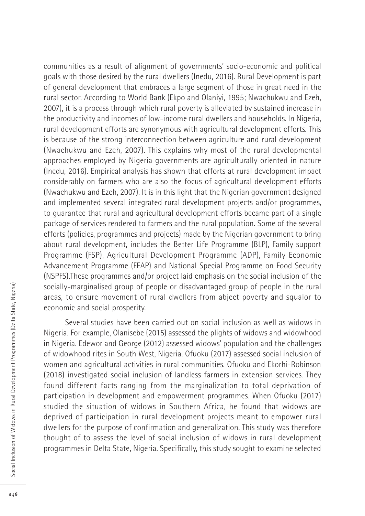communities as a result of alignment of governments' socio-economic and political goals with those desired by the rural dwellers (Inedu, 2016). Rural Development is part of general development that embraces a large segment of those in great need in the rural sector. According to World Bank (Ekpo and Olaniyi, 1995; Nwachukwu and Ezeh, 2007), it is a process through which rural poverty is alleviated by sustained increase in the productivity and incomes of low-income rural dwellers and households. In Nigeria, rural development efforts are synonymous with agricultural development efforts. This is because of the strong interconnection between agriculture and rural development (Nwachukwu and Ezeh, 2007). This explains why most of the rural developmental approaches employed by Nigeria governments are agriculturally oriented in nature (Inedu, 2016). Empirical analysis has shown that efforts at rural development impact considerably on farmers who are also the focus of agricultural development efforts (Nwachukwu and Ezeh, 2007). It is in this light that the Nigerian government designed and implemented several integrated rural development projects and/or programmes, to guarantee that rural and agricultural development efforts became part of a single package of services rendered to farmers and the rural population. Some of the several efforts (policies, programmes and projects) made by the Nigerian government to bring about rural development, includes the Better Life Programme (BLP), Family support Programme (FSP), Agricultural Development Programme (ADP), Family Economic Advancement Programme (FEAP) and National Special Programme on Food Security (NSPFS).These programmes and/or project laid emphasis on the social inclusion of the socially-marginalised group of people or disadvantaged group of people in the rural areas, to ensure movement of rural dwellers from abject poverty and squalor to economic and social prosperity.

Several studies have been carried out on social inclusion as well as widows in Nigeria. For example, Olanisebe (2015) assessed the plights of widows and widowhood in Nigeria. Edewor and George (2012) assessed widows' population and the challenges of widowhood rites in South West, Nigeria. Ofuoku (2017) assessed social inclusion of women and agricultural activities in rural communities. Ofuoku and Ekorhi-Robinson (2018) investigated social inclusion of landless farmers in extension services. They found different facts ranging from the marginalization to total deprivation of participation in development and empowerment programmes. When Ofuoku (2017) studied the situation of widows in Southern Africa, he found that widows are deprived of participation in rural development projects meant to empower rural dwellers for the purpose of confirmation and generalization. This study was therefore thought of to assess the level of social inclusion of widows in rural development programmes in Delta State, Nigeria. Specifically, this study sought to examine selected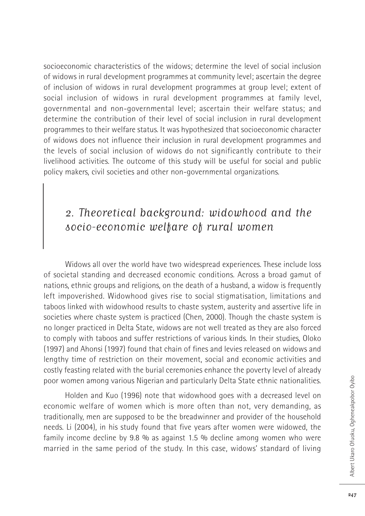socioeconomic characteristics of the widows; determine the level of social inclusion of widows in rural development programmes at community level; ascertain the degree of inclusion of widows in rural development programmes at group level; extent of social inclusion of widows in rural development programmes at family level, governmental and non-governmental level; ascertain their welfare status; and determine the contribution of their level of social inclusion in rural development programmes to their welfare status. It was hypothesized that socioeconomic character of widows does not influence their inclusion in rural development programmes and the levels of social inclusion of widows do not significantly contribute to their livelihood activities. The outcome of this study will be useful for social and public policy makers, civil societies and other non-governmental organizations.

## 2. Theoretical background: widowhood and the socio-economic welfare of rural women

Widows all over the world have two widespread experiences. These include loss of societal standing and decreased economic conditions. Across a broad gamut of nations, ethnic groups and religions, on the death of a husband, a widow is frequently left impoverished. Widowhood gives rise to social stigmatisation, limitations and taboos linked with widowhood results to chaste system, austerity and assertive life in societies where chaste system is practiced (Chen, 2000). Though the chaste system is no longer practiced in Delta State, widows are not well treated as they are also forced to comply with taboos and suffer restrictions of various kinds. In their studies, Oloko (1997) and Ahonsi (1997) found that chain of fines and levies released on widows and lengthy time of restriction on their movement, social and economic activities and costly feasting related with the burial ceremonies enhance the poverty level of already poor women among various Nigerian and particularly Delta State ethnic nationalities.

Holden and Kuo (1996) note that widowhood goes with a decreased level on economic welfare of women which is more often than not, very demanding, as traditionally, men are supposed to be the breadwinner and provider of the household needs. Li (2004), in his study found that five years after women were widowed, the family income decline by 9.8 % as against 1.5 % decline among women who were married in the same period of the study. In this case, widows' standard of living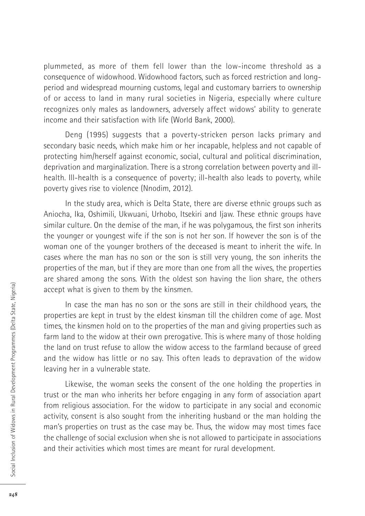plummeted, as more of them fell lower than the low-income threshold as a consequence of widowhood. Widowhood factors, such as forced restriction and longperiod and widespread mourning customs, legal and customary barriers to ownership of or access to land in many rural societies in Nigeria, especially where culture recognizes only males as landowners, adversely affect widows' ability to generate income and their satisfaction with life (World Bank, 2000).

Deng (1995) suggests that a poverty-stricken person lacks primary and secondary basic needs, which make him or her incapable, helpless and not capable of protecting him/herself against economic, social, cultural and political discrimination, deprivation and marginalization. There is a strong correlation between poverty and illhealth. Ill-health is a consequence of poverty; ill-health also leads to poverty, while poverty gives rise to violence (Nnodim, 2012).

In the study area, which is Delta State, there are diverse ethnic groups such as Aniocha, Ika, Oshimili, Ukwuani, Urhobo, Itsekiri and Ijaw. These ethnic groups have similar culture. On the demise of the man, if he was polygamous, the first son inherits the younger or youngest wife if the son is not her son. If however the son is of the woman one of the younger brothers of the deceased is meant to inherit the wife. In cases where the man has no son or the son is still very young, the son inherits the properties of the man, but if they are more than one from all the wives, the properties are shared among the sons. With the oldest son having the lion share, the others accept what is given to them by the kinsmen.

In case the man has no son or the sons are still in their childhood years, the properties are kept in trust by the eldest kinsman till the children come of age. Most times, the kinsmen hold on to the properties of the man and giving properties such as farm land to the widow at their own prerogative. This is where many of those holding the land on trust refuse to allow the widow access to the farmland because of greed and the widow has little or no say. This often leads to depravation of the widow leaving her in a vulnerable state.

Likewise, the woman seeks the consent of the one holding the properties in trust or the man who inherits her before engaging in any form of association apart from religious association. For the widow to participate in any social and economic activity, consent is also sought from the inheriting husband or the man holding the man's properties on trust as the case may be. Thus, the widow may most times face the challenge of social exclusion when she is not allowed to participate in associations and their activities which most times are meant for rural development.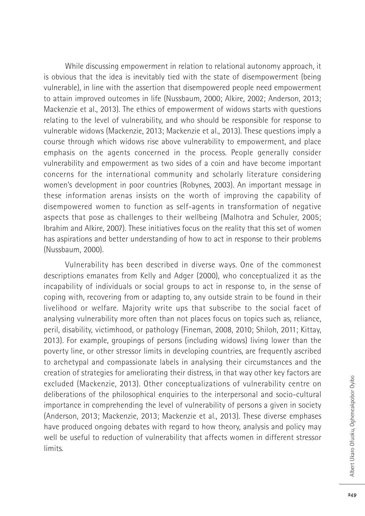While discussing empowerment in relation to relational autonomy approach, it is obvious that the idea is inevitably tied with the state of disempowerment (being vulnerable), in line with the assertion that disempowered people need empowerment to attain improved outcomes in life (Nussbaum, 2000; Alkire, 2002; Anderson, 2013; Mackenzie et al., 2013). The ethics of empowerment of widows starts with questions relating to the level of vulnerability, and who should be responsible for response to vulnerable widows (Mackenzie, 2013; Mackenzie et al., 2013). These questions imply a course through which widows rise above vulnerability to empowerment, and place emphasis on the agents concerned in the process. People generally consider vulnerability and empowerment as two sides of a coin and have become important concerns for the international community and scholarly literature considering women's development in poor countries (Robynes, 2003). An important message in these information arenas insists on the worth of improving the capability of disempowered women to function as self-agents in transformation of negative aspects that pose as challenges to their wellbeing (Malhotra and Schuler, 2005; Ibrahim and Alkire, 2007). These initiatives focus on the reality that this set of women has aspirations and better understanding of how to act in response to their problems (Nussbaum, 2000).

Vulnerability has been described in diverse ways. One of the commonest descriptions emanates from Kelly and Adger (2000), who conceptualized it as the incapability of individuals or social groups to act in response to, in the sense of coping with, recovering from or adapting to, any outside strain to be found in their livelihood or welfare. Majority write ups that subscribe to the social facet of analysing vulnerability more often than not places focus on topics such as, reliance, peril, disability, victimhood, or pathology (Fineman, 2008, 2010; Shiloh, 2011; Kittay, 2013). For example, groupings of persons (including widows) living lower than the poverty line, or other stressor limits in developing countries, are frequently ascribed to archetypal and compassionate labels in analysing their circumstances and the creation of strategies for ameliorating their distress, in that way other key factors are excluded (Mackenzie, 2013). Other conceptualizations of vulnerability centre on deliberations of the philosophical enquiries to the interpersonal and socio-cultural importance in comprehending the level of vulnerability of persons a given in society (Anderson, 2013; Mackenzie, 2013; Mackenzie et al., 2013). These diverse emphases have produced ongoing debates with regard to how theory, analysis and policy may well be useful to reduction of vulnerability that affects women in different stressor limits.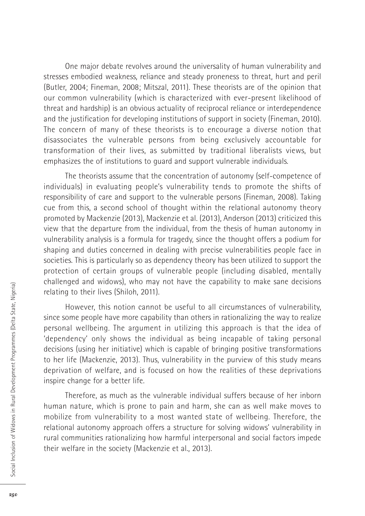One major debate revolves around the universality of human vulnerability and stresses embodied weakness, reliance and steady proneness to threat, hurt and peril (Butler, 2004; Fineman, 2008; Mitszal, 2011). These theorists are of the opinion that our common vulnerability (which is characterized with ever-present likelihood of threat and hardship) is an obvious actuality of reciprocal reliance or interdependence and the justification for developing institutions of support in society (Fineman, 2010). The concern of many of these theorists is to encourage a diverse notion that disassociates the vulnerable persons from being exclusively accountable for transformation of their lives, as submitted by traditional liberalists views, but emphasizes the of institutions to guard and support vulnerable individuals.

The theorists assume that the concentration of autonomy (self-competence of individuals) in evaluating people's vulnerability tends to promote the shifts of responsibility of care and support to the vulnerable persons (Fineman, 2008). Taking cue from this, a second school of thought within the relational autonomy theory promoted by Mackenzie (2013), Mackenzie et al. (2013), Anderson (2013) criticized this view that the departure from the individual, from the thesis of human autonomy in vulnerability analysis is a formula for tragedy, since the thought offers a podium for shaping and duties concerned in dealing with precise vulnerabilities people face in societies. This is particularly so as dependency theory has been utilized to support the protection of certain groups of vulnerable people (including disabled, mentally challenged and widows), who may not have the capability to make sane decisions relating to their lives (Shiloh, 2011).

However, this notion cannot be useful to all circumstances of vulnerability, since some people have more capability than others in rationalizing the way to realize personal wellbeing. The argument in utilizing this approach is that the idea of 'dependency' only shows the individual as being incapable of taking personal decisions (using her initiative) which is capable of bringing positive transformations to her life (Mackenzie, 2013). Thus, vulnerability in the purview of this study means deprivation of welfare, and is focused on how the realities of these deprivations inspire change for a better life.

Therefore, as much as the vulnerable individual suffers because of her inborn human nature, which is prone to pain and harm, she can as well make moves to mobilize from vulnerability to a most wanted state of wellbeing. Therefore, the relational autonomy approach offers a structure for solving widows' vulnerability in rural communities rationalizing how harmful interpersonal and social factors impede their welfare in the society (Mackenzie et al., 2013).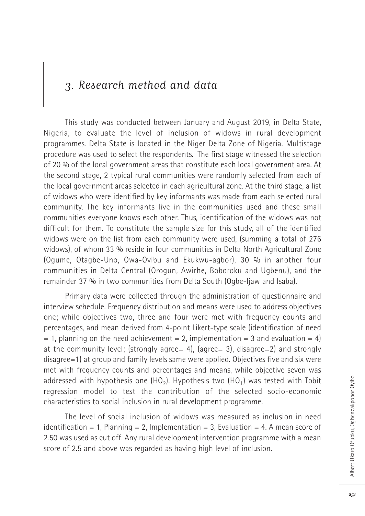## 3. Research method and data

This study was conducted between January and August 2019, in Delta State, Nigeria, to evaluate the level of inclusion of widows in rural development programmes. Delta State is located in the Niger Delta Zone of Nigeria. Multistage procedure was used to select the respondents. The first stage witnessed the selection of 20 % of the local government areas that constitute each local government area. At the second stage, 2 typical rural communities were randomly selected from each of the local government areas selected in each agricultural zone. At the third stage, a list of widows who were identified by key informants was made from each selected rural community. The key informants live in the communities used and these small communities everyone knows each other. Thus, identification of the widows was not difficult for them. To constitute the sample size for this study, all of the identified widows were on the list from each community were used, (summing a total of 276 widows), of whom 33 % reside in four communities in Delta North Agricultural Zone (Ogume, Otagbe-Uno, Owa-Ovibu and Ekukwu-agbor), 30 % in another four communities in Delta Central (Orogun, Awirhe, Boboroku and Ugbenu), and the remainder 37 % in two communities from Delta South (Ogbe-Ijaw and Isaba).

Primary data were collected through the administration of questionnaire and interview schedule. Frequency distribution and means were used to address objectives one; while objectives two, three and four were met with frequency counts and percentages, and mean derived from 4-point Likert-type scale (identification of need  $= 1$ , planning on the need achievement  $= 2$ , implementation  $= 3$  and evaluation  $= 4$ ) at the community level; (strongly agree= 4), (agree= 3), disagree=2) and strongly disagree=1) at group and family levels same were applied. Objectives five and six were met with frequency counts and percentages and means, while objective seven was addressed with hypothesis one  $(HO<sub>2</sub>)$ . Hypothesis two  $(HO<sub>1</sub>)$  was tested with Tobit regression model to test the contribution of the selected socio-economic characteristics to social inclusion in rural development programme.

The level of social inclusion of widows was measured as inclusion in need identification = 1, Planning = 2, Implementation = 3, Evaluation = 4. A mean score of 2.50 was used as cut off. Any rural development intervention programme with a mean score of 2.5 and above was regarded as having high level of inclusion.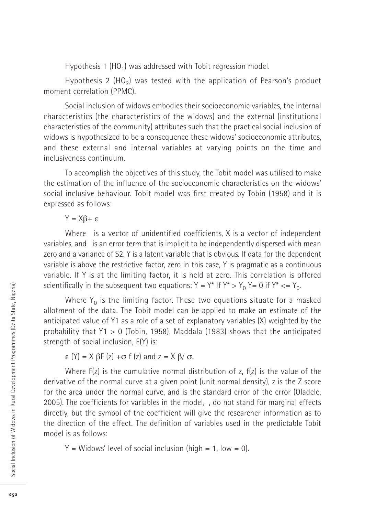Hypothesis 1 (HO<sub>1</sub>) was addressed with Tobit regression model.

Hypothesis 2 (HO<sub>2</sub>) was tested with the application of Pearson's product moment correlation (PPMC).

Social inclusion of widows embodies their socioeconomic variables, the internal characteristics (the characteristics of the widows) and the external (institutional characteristics of the community) attributes such that the practical social inclusion of widows is hypothesized to be a consequence these widows' socioeconomic attributes, and these external and internal variables at varying points on the time and inclusiveness continuum.

To accomplish the objectives of this study, the Tobit model was utilised to make the estimation of the influence of the socioeconomic characteristics on the widows' social inclusive behaviour. Tobit model was first created by Tobin (1958) and it is expressed as follows:

 $Y = X\beta + \varepsilon$ 

Where is a vector of unidentified coefficients, X is a vector of independent variables, and is an error term that is implicit to be independently dispersed with mean zero and a variance of S2. Y is a latent variable that is obvious. If data for the dependent variable is above the restrictive factor, zero in this case, Y is pragmatic as a continuous variable. If Y is at the limiting factor, it is held at zero. This correlation is offered scientifically in the subsequent two equations:  $Y = Y^*$  If  $Y^* > Y_0$ ,  $Y = 0$  if  $Y^* < Y_0$ .

Where  $Y_0$  is the limiting factor. These two equations situate for a masked allotment of the data. The Tobit model can be applied to make an estimate of the anticipated value of Y1 as a role of a set of explanatory variables (X) weighted by the probability that Y1 > 0 (Tobin, 1958). Maddala (1983) shows that the anticipated strength of social inclusion, E(Y) is:

 $\epsilon$  (Y) = X  $\beta$ F (z) +  $\sigma$  f (z) and z = X  $\beta$ /  $\sigma$ .

Where  $F(z)$  is the cumulative normal distribution of z,  $f(z)$  is the value of the derivative of the normal curve at a given point (unit normal density), z is the Z score for the area under the normal curve, and is the standard error of the error (Oladele, 2005). The coefficients for variables in the model, , do not stand for marginal effects directly, but the symbol of the coefficient will give the researcher information as to the direction of the effect. The definition of variables used in the predictable Tobit model is as follows:

 $Y =$  Widows' level of social inclusion (high = 1, low = 0).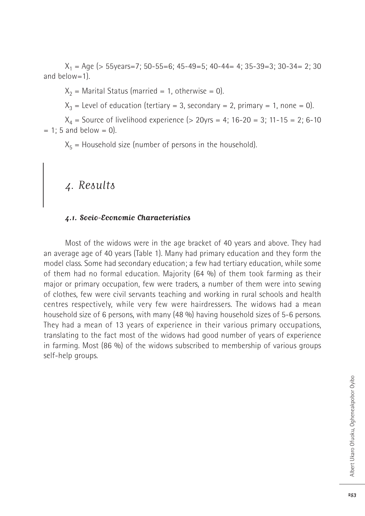$X_1 = \text{Age}$  (> 55years=7; 50-55=6; 45-49=5; 40-44= 4; 35-39=3; 30-34= 2; 30 and below=1).

 $X_2$  = Marital Status (married = 1, otherwise = 0).

 $X_3$  = Level of education (tertiary = 3, secondary = 2, primary = 1, none = 0).

 $X_4$  = Source of livelihood experience (> 20yrs = 4; 16-20 = 3; 11-15 = 2; 6-10  $= 1$ ; 5 and below  $= 0$ ).

 $X<sub>5</sub>$  = Household size (number of persons in the household).

## 4. Results

#### **4.1. Socio-Economic Characteristics**

Most of the widows were in the age bracket of 40 years and above. They had an average age of 40 years (Table 1). Many had primary education and they form the model class. Some had secondary education; a few had tertiary education, while some of them had no formal education. Majority (64 %) of them took farming as their major or primary occupation, few were traders, a number of them were into sewing of clothes, few were civil servants teaching and working in rural schools and health centres respectively, while very few were hairdressers. The widows had a mean household size of 6 persons, with many (48 %) having household sizes of 5-6 persons. They had a mean of 13 years of experience in their various primary occupations, translating to the fact most of the widows had good number of years of experience in farming. Most (86 %) of the widows subscribed to membership of various groups self-help groups.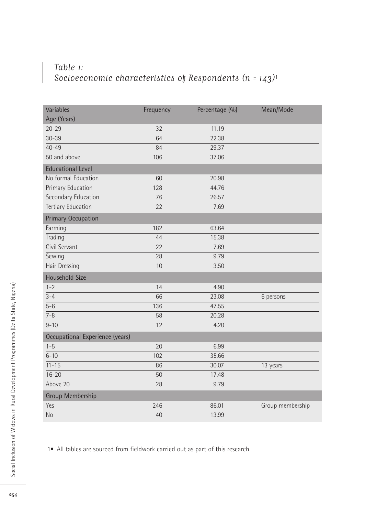### Table 1: Socioeconomic characteristics of Respondents (n =  $143$ )<sup>1</sup>

| Variables                       | Frequency | Percentage (%) | Mean/Mode        |
|---------------------------------|-----------|----------------|------------------|
| Age (Years)                     |           |                |                  |
| $20 - 29$                       | 32        | 11.19          |                  |
| $30 - 39$                       | 64        | 22.38          |                  |
| $40 - 49$                       | 84        | 29.37          |                  |
| 50 and above                    | 106       | 37.06          |                  |
| <b>Educational Level</b>        |           |                |                  |
| No formal Education             | 60        | 20.98          |                  |
| Primary Education               | 128       | 44.76          |                  |
| Secondary Education             | 76        | 26.57          |                  |
| <b>Tertiary Education</b>       | 22        | 7.69           |                  |
| <b>Primary Occupation</b>       |           |                |                  |
| Farming                         | 182       | 63.64          |                  |
| Trading                         | 44        | 15.38          |                  |
| Civil Servant                   | 22        | 7.69           |                  |
| Sewing                          | 28        | 9.79           |                  |
| Hair Dressing                   | 10        | 3.50           |                  |
| <b>Household Size</b>           |           |                |                  |
| $1 - 2$                         | 14        | 4.90           |                  |
| $3 - 4$                         | 66        | 23.08          | 6 persons        |
| $5 - 6$                         | 136       | 47.55          |                  |
| $7 - 8$                         | 58        | 20.28          |                  |
| $9 - 10$                        | 12        | 4.20           |                  |
| Occupational Experience (years) |           |                |                  |
| $1 - 5$                         | 20        | 6.99           |                  |
| $6 - 10$                        | 102       | 35.66          |                  |
| $11 - 15$                       | 86        | 30.07          | 13 years         |
| $16 - 20$                       | 50        | 17.48          |                  |
| Above 20                        | 28        | 9.79           |                  |
| Group Membership                |           |                |                  |
| Yes                             | 246       | 86.01          | Group membership |
| <b>No</b>                       | 40        | 13.99          |                  |

1• All tables are sourced from fieldwork carried out as part of this research.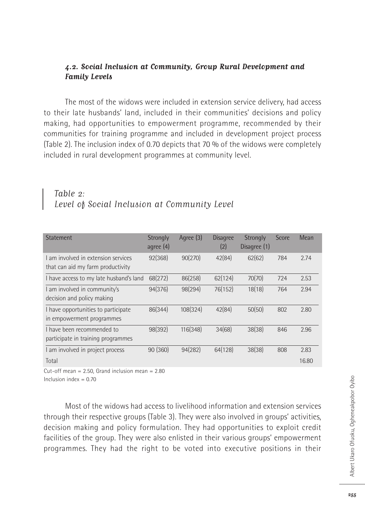#### **4.2. Social Inclusion at Community, Group Rural Development and Family Levels**

The most of the widows were included in extension service delivery, had access to their late husbands' land, included in their communities' decisions and policy making, had opportunities to empowerment programme, recommended by their communities for training programme and included in development project process (Table 2). The inclusion index of 0.70 depicts that 70 % of the widows were completely included in rural development programmes at community level.

#### Table 2: Level of Social Inclusion at Community Level

| <b>Statement</b>                                                        | Strongly<br>agree $(4)$ | Agree (3) | <b>Disagree</b><br>(2) | Strongly<br>Disagree (1) | Score | Mean  |
|-------------------------------------------------------------------------|-------------------------|-----------|------------------------|--------------------------|-------|-------|
| Lam involved in extension services<br>that can aid my farm productivity | 92(368)                 | 90(270)   | 42(84)                 | 62(62)                   | 784   | 2.74  |
| I have access to my late husband's land                                 | 68(272)                 | 86(258)   | 62(124)                | 70(70)                   | 724   | 2.53  |
| I am involved in community's<br>decision and policy making              | 94(376)                 | 98(294)   | 76(152)                | 18(18)                   | 764   | 2.94  |
| I have opportunities to participate<br>in empowerment programmes        | 86(344)                 | 108(324)  | 42(84)                 | 50(50)                   | 802   | 2.80  |
| I have been recommended to<br>participate in training programmes        | 98(392)                 | 116(348)  | 34(68)                 | 38(38)                   | 846   | 2.96  |
| I am involved in project process                                        | 90 (360)                | 94(282)   | 64(128)                | 38(38)                   | 808   | 2.83  |
| Total                                                                   |                         |           |                        |                          |       | 16.80 |

Cut-off mean  $= 2.50$ . Grand inclusion mean  $= 2.80$ 

Inclusion index  $= 0.70$ 

Most of the widows had access to livelihood information and extension services through their respective groups (Table 3). They were also involved in groups' activities, decision making and policy formulation. They had opportunities to exploit credit facilities of the group. They were also enlisted in their various groups' empowerment programmes. They had the right to be voted into executive positions in their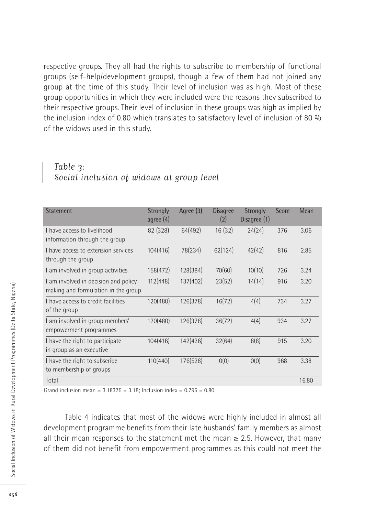respective groups. They all had the rights to subscribe to membership of functional groups (self-help/development groups), though a few of them had not joined any group at the time of this study. Their level of inclusion was as high. Most of these group opportunities in which they were included were the reasons they subscribed to their respective groups. Their level of inclusion in these groups was high as implied by the inclusion index of 0.80 which translates to satisfactory level of inclusion of 80 % of the widows used in this study.

#### Table 3: Social inclusion of widows at group level

| <b>Statement</b>                                                            | Strongly<br>agree (4) | Agree (3) | <b>Disagree</b><br>(2) | <b>Strongly</b><br>Disagree (1) | Score | Mean  |
|-----------------------------------------------------------------------------|-----------------------|-----------|------------------------|---------------------------------|-------|-------|
| I have access to livelihood<br>information through the group                | 82 (328)              | 64(492)   | 16(32)                 | 24(24)                          | 376   | 3.06  |
| I have access to extension services<br>through the group                    | 104(416)              | 78(234)   | 62(124)                | 42(42)                          | 816   | 2.85  |
| I am involved in group activities                                           | 158(472)              | 128(384)  | 70(60)                 | 10(10)                          | 726   | 3.24  |
| I am involved in decision and policy<br>making and formulation in the group | 112(448)              | 137(402)  | 23(52)                 | 14(14)                          | 916   | 3.20  |
| I have access to credit facilities<br>of the group                          | 120(480)              | 126(378)  | 16(72)                 | 4(4)                            | 734   | 3.27  |
| I am involved in group members'<br>empowerment programmes                   | 120(480)              | 126(378)  | 36(72)                 | 4(4)                            | 934   | 3.27  |
| I have the right to participate<br>in group as an executive                 | 104(416)              | 142(426)  | 32(64)                 | 8(8)                            | 915   | 3.20  |
| I have the right to subscribe<br>to membership of groups                    | 110(440)              | 176(528)  | O(0)                   | O(0)                            | 968   | 3.38  |
| Total                                                                       |                       |           |                        |                                 |       | 16.80 |

Grand inclusion mean =  $3.18375 = 3.18$ ; Inclusion index =  $0.795 = 0.80$ 

Table 4 indicates that most of the widows were highly included in almost all development programme benefits from their late husbands' family members as almost all their mean responses to the statement met the mean  $\geq 2.5$ . However, that many of them did not benefit from empowerment programmes as this could not meet the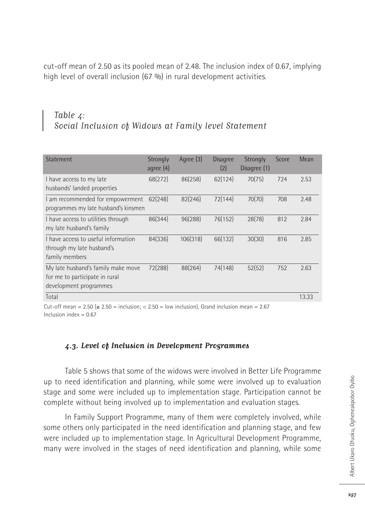cut-off mean of 2.50 as its pooled mean of 2.48. The inclusion index of 0.67, implying high level of overall inclusion (67 %) in rural development activities.

### Table 4: Social Inclusion of Widows at Family level Statement

| <b>Statement</b>                                                                               | Strongly<br>agree $(4)$ | Agree (3) | <b>Disagree</b><br>(2) | Strongly<br>Disagree (1) | Score | Mean  |
|------------------------------------------------------------------------------------------------|-------------------------|-----------|------------------------|--------------------------|-------|-------|
| I have access to my late<br>husbands' landed properties                                        | 68(272)                 | 86(258)   | 62(124)                | 70(75)                   | 724   | 2.53  |
| I am recommended for empowerment<br>programmes my late husband's kinsmen                       | 62(248)                 | 82(246)   | 72(144)                | 70(70)                   | 708   | 2.48  |
| I have access to utilities through<br>my late husband's family                                 | 86(344)                 | 96(288)   | 76(152)                | 28(78)                   | 812   | 2.84  |
| I have access to useful information<br>through my late husband's<br>family members             | 84(336)                 | 106(318)  | 66(132)                | 30(30)                   | 816   | 2.85  |
| My late husband's family make move<br>for me to participate in rural<br>development programmes | 72(288)                 | 88(264)   | 74(148)                | 52(52)                   | 752   | 2.63  |
| Total                                                                                          |                         |           |                        |                          |       | 13.33 |

Cut-off mean =  $2.50 \ge 2.50$  = inclusion; <  $2.50$  = low inclusion), Grand inclusion mean =  $2.67$ Inclusion index  $= 0.67$ 

#### **4.3. Level of Inclusion in Development Programmes**

Table 5 shows that some of the widows were involved in Better Life Programme up to need identification and planning, while some were involved up to evaluation stage and some were included up to implementation stage. Participation cannot be complete without being involved up to implementation and evaluation stages.

In Family Support Programme, many of them were completely involved, while some others only participated in the need identification and planning stage, and few were included up to implementation stage. In Agricultural Development Programme, many were involved in the stages of need identification and planning, while some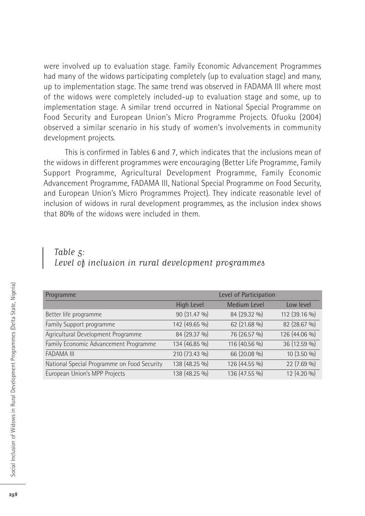were involved up to evaluation stage. Family Economic Advancement Programmes had many of the widows participating completely (up to evaluation stage) and many, up to implementation stage. The same trend was observed in FADAMA III where most of the widows were completely included-up to evaluation stage and some, up to implementation stage. A similar trend occurred in National Special Programme on Food Security and European Union's Micro Programme Projects. Ofuoku (2004) observed a similar scenario in his study of women's involvements in community development projects.

This is confirmed in Tables 6 and 7, which indicates that the inclusions mean of the widows in different programmes were encouraging (Better Life Programme, Family Support Programme, Agricultural Development Programme, Family Economic Advancement Programme, FADAMA III, National Special Programme on Food Security, and European Union's Micro Programmes Project). They indicate reasonable level of inclusion of widows in rural development programmes, as the inclusion index shows that 80% of the widows were included in them.

#### Table 5: Level of inclusion in rural development programmes

| Programme                                   | Level of Participation |               |               |  |  |
|---------------------------------------------|------------------------|---------------|---------------|--|--|
|                                             | High Level             | Medium Level  | Low level     |  |  |
| Better life programme                       | 90 (31.47 %)           | 84 (29.32 %)  | 112 (39.16 %) |  |  |
| Family Support programme                    | 142 (49.65 %)          | 62 (21.68 %)  | 82 (28.67 %)  |  |  |
| Agricultural Development Programme          | 84 (29.37 %)           | 76 (26.57 %)  | 126 (44.06 %) |  |  |
| Family Economic Advancement Programme       | 134 (46.85 %)          | 116 (40.56 %) | 36 (12.59 %)  |  |  |
| <b>FADAMA III</b>                           | 210 (73.43 %)          | 66 (20.08 %)  | 10 (3.50 %)   |  |  |
| National Special Programme on Food Security | 138 (48.25 %)          | 126 (44.55 %) | 22 (7.69 %)   |  |  |
| European Union's MPP Projects               | 138 (48.25 %)          | 136 (47.55 %) | 12 (4.20 %)   |  |  |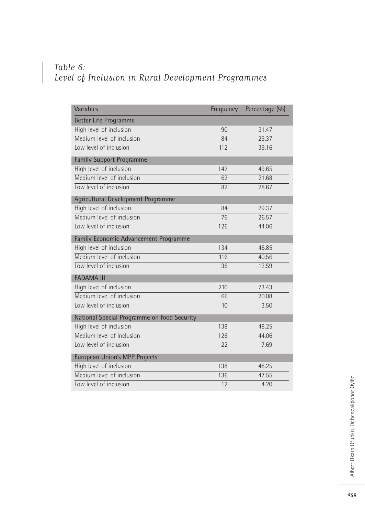## Table 6: Level of Inclusion in Rural Development Programmes

| Variables                                   | Frequency | Percentage (%) |
|---------------------------------------------|-----------|----------------|
| Better Life Programme                       |           |                |
| High level of inclusion                     | 90        | 31.47          |
| Medium level of inclusion                   | 84        | 29.37          |
| Low level of inclusion                      | 112       | 39.16          |
| <b>Family Support Programme</b>             |           |                |
| High level of inclusion                     | 142       | 49.65          |
| Medium level of inclusion                   | 62        | 21.68          |
| Low level of inclusion                      | 82        | 28.67          |
| Agricultural Development Programme          |           |                |
| High level of inclusion                     | 84        | 29.37          |
| Medium level of inclusion                   | 76        | 26.57          |
| Low level of inclusion                      | 126       | 44.06          |
| Family Economic Advancement Programme       |           |                |
| High level of inclusion                     | 134       | 46.85          |
| Medium level of inclusion                   | 116       | 40.56          |
| Low level of inclusion                      | 36        | 12.59          |
| <b>FADAMA III</b>                           |           |                |
| High level of inclusion                     | 210       | 73.43          |
| Medium level of inclusion                   | 66        | 20.08          |
| Low level of inclusion                      | 10        | 3.50           |
| National Special Programme on food Security |           |                |
| High level of inclusion                     | 138       | 48.25          |
| Medium level of inclusion                   | 126       | 44.06          |
| Low level of inclusion                      | 22        | 7.69           |
| <b>European Union's MPP Projects</b>        |           |                |
| High level of inclusion                     | 138       | 48.25          |
| Medium level of inclusion                   | 136       | 47.55          |
| Low level of inclusion                      | 12        | 4.20           |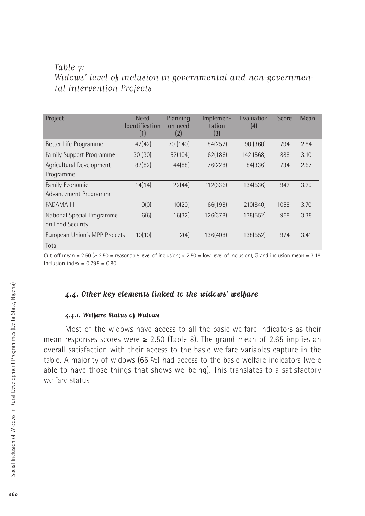### Table 7: Widows' level of inclusion in governmental and non-governmental Intervention Projects

| Project                       | <b>Need</b><br><b>Identification</b><br>(1) | Planning<br>on need<br>(2) | Implemen-<br>tation<br>(3) | Evaluation<br>(4) | Score | Mean |
|-------------------------------|---------------------------------------------|----------------------------|----------------------------|-------------------|-------|------|
| Better Life Programme         | 42(42)                                      | 70 (140)                   | 84(252)                    | 90(360)           | 794   | 2.84 |
| Family Support Programme      | 30(30)                                      | 52(104)                    | 62(186)                    | 142 (568)         | 888   | 3.10 |
| Agricultural Development      | 82(82)                                      | 44(88)                     | 76(228)                    | 84(336)           | 734   | 2.57 |
| Programme                     |                                             |                            |                            |                   |       |      |
| Family Economic               | 14(14)                                      | 22(44)                     | 112(336)                   | 134(536)          | 942   | 3.29 |
| Advancement Programme         |                                             |                            |                            |                   |       |      |
| <b>FADAMA III</b>             | O(0)                                        | 10(20)                     | 66(198)                    | 210(840)          | 1058  | 3.70 |
| National Special Programme    | 6(6)                                        | 16(32)                     | 126(378)                   | 138(552)          | 968   | 3.38 |
| on Food Security              |                                             |                            |                            |                   |       |      |
| European Union's MPP Projects | 10(10)                                      | 2(4)                       | 136(408)                   | 138(552)          | 974   | 3.41 |
| Total                         |                                             |                            |                            |                   |       |      |

Cut-off mean =  $2.50$  ( $\geq 2.50$  = reasonable level of inclusion; <  $2.50$  = low level of inclusion), Grand inclusion mean = 3.18 Inclusion index =  $0.795 = 0.80$ 

#### **4.4. Other key elements linked to the widows' welfare**

#### **4.4.1. Welfare Status of Widows**

Most of the widows have access to all the basic welfare indicators as their mean responses scores were  $\geq 2.50$  (Table 8). The grand mean of 2.65 implies an overall satisfaction with their access to the basic welfare variables capture in the table. A majority of widows (66 %) had access to the basic welfare indicators (were able to have those things that shows wellbeing). This translates to a satisfactory welfare status.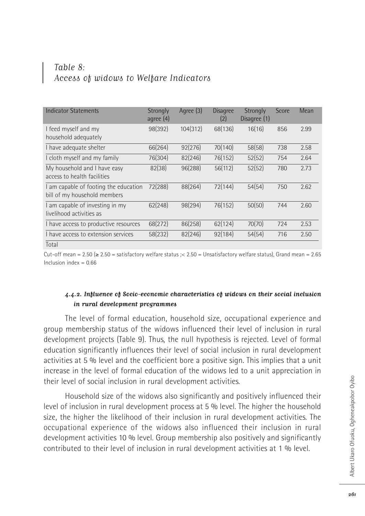### Table 8: Access of widows to Welfare Indicators

| <b>Indicator Statements</b>                                           | Strongly<br>agree $(4)$ | Agree (3) | <b>Disagree</b><br>(2) | Strongly<br>Disagree (1) | Score | Mean |
|-----------------------------------------------------------------------|-------------------------|-----------|------------------------|--------------------------|-------|------|
| I feed myself and my<br>household adequately                          | 98(392)                 | 104(312)  | 68(136)                | 16(16)                   | 856   | 2.99 |
| I have adequate shelter                                               | 66(264)                 | 92(276)   | 70(140)                | 58(58)                   | 738   | 2.58 |
| I cloth myself and my family                                          | 76(304)                 | 82(246)   | 76(152)                | 52(52)                   | 754   | 2.64 |
| My household and I have easy<br>access to health facilities           | 82(38)                  | 96(288)   | 56(112)                | 52(52)                   | 780   | 2.73 |
| I am capable of footing the education<br>bill of my household members | 72(288)                 | 88(264)   | 72(144)                | 54(54)                   | 750   | 2.62 |
| I am capable of investing in my<br>livelihood activities as           | 62(248)                 | 98(294)   | 76(152)                | 50(50)                   | 744   | 2.60 |
| I have access to productive resources                                 | 68(272)                 | 86(258)   | 62(124)                | 70(70)                   | 724   | 2.53 |
| I have access to extension services                                   | 58(232)                 | 82(246)   | 92(184)                | 54(54)                   | 716   | 2.50 |
| Total                                                                 |                         |           |                        |                          |       |      |

Cut-off mean =  $2.50$  ( $\geq 2.50$  = satisfactory welfare status ; < 2.50 = Unsatisfactory welfare status), Grand mean = 2.65 Inclusion index  $= 0.66$ 

#### **4.4.2. Influence of Socio-economic characteristics of widows on their social inclusion in rural development programmes**

The level of formal education, household size, occupational experience and group membership status of the widows influenced their level of inclusion in rural development projects (Table 9). Thus, the null hypothesis is rejected. Level of formal education significantly influences their level of social inclusion in rural development activities at 5 % level and the coefficient bore a positive sign. This implies that a unit increase in the level of formal education of the widows led to a unit appreciation in their level of social inclusion in rural development activities.

Household size of the widows also significantly and positively influenced their level of inclusion in rural development process at 5 % level. The higher the household size, the higher the likelihood of their inclusion in rural development activities. The occupational experience of the widows also influenced their inclusion in rural development activities 10 % level. Group membership also positively and significantly contributed to their level of inclusion in rural development activities at 1 % level.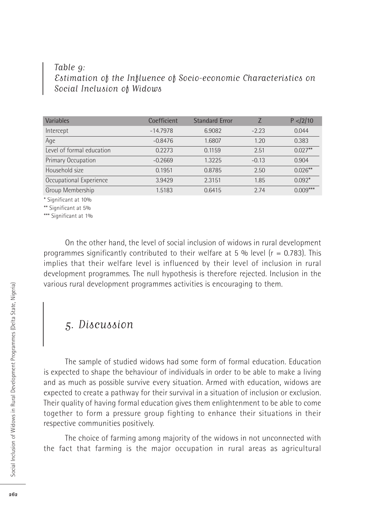### Table 9: Estimation of the Influence of Socio-economic Characteristics on Social Inclusion of Widows

| Coefficient | <b>Standard Error</b> |         | P < 2/10   |
|-------------|-----------------------|---------|------------|
| $-14.7978$  | 6.9082                | $-2.23$ | 0.044      |
| $-0.8476$   | 1.6807                | 1.20    | 0.383      |
| 0.2273      | 0.1159                | 2.51    | $0.027**$  |
| $-0.2669$   | 1.3225                | $-0.13$ | 0.904      |
| 0.1951      | 0.8785                | 2.50    | $0.026***$ |
| 3.9429      | 2.3151                | 1.85    | $0.092*$   |
| 1.5183      | 0.6415                | 2.74    | $0.009***$ |
|             |                       |         |            |

\* Significant at 10%

\*\* Significant at 5%

\*\*\* Significant at 1%

On the other hand, the level of social inclusion of widows in rural development programmes significantly contributed to their welfare at 5 % level ( $r = 0.783$ ). This implies that their welfare level is influenced by their level of inclusion in rural development programmes. The null hypothesis is therefore rejected. Inclusion in the various rural development programmes activities is encouraging to them.

## 5. Discussion

The sample of studied widows had some form of formal education. Education is expected to shape the behaviour of individuals in order to be able to make a living and as much as possible survive every situation. Armed with education, widows are expected to create a pathway for their survival in a situation of inclusion or exclusion. Their quality of having formal education gives them enlightenment to be able to come together to form a pressure group fighting to enhance their situations in their respective communities positively.

The choice of farming among majority of the widows in not unconnected with the fact that farming is the major occupation in rural areas as agricultural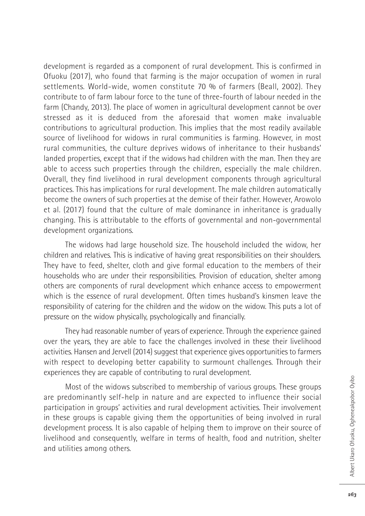development is regarded as a component of rural development. This is confirmed in Ofuoku (2017), who found that farming is the major occupation of women in rural settlements. World-wide, women constitute 70 % of farmers (Beall, 2002). They contribute to of farm labour force to the tune of three-fourth of labour needed in the farm (Chandy, 2013). The place of women in agricultural development cannot be over stressed as it is deduced from the aforesaid that women make invaluable contributions to agricultural production. This implies that the most readily available source of livelihood for widows in rural communities is farming. However, in most rural communities, the culture deprives widows of inheritance to their husbands' landed properties, except that if the widows had children with the man. Then they are able to access such properties through the children, especially the male children. Overall, they find livelihood in rural development components through agricultural practices. This has implications for rural development. The male children automatically become the owners of such properties at the demise of their father. However, Arowolo et al. (2017) found that the culture of male dominance in inheritance is gradually changing. This is attributable to the efforts of governmental and non-governmental development organizations.

The widows had large household size. The household included the widow, her children and relatives. This is indicative of having great responsibilities on their shoulders. They have to feed, shelter, cloth and give formal education to the members of their households who are under their responsibilities. Provision of education, shelter among others are components of rural development which enhance access to empowerment which is the essence of rural development. Often times husband's kinsmen leave the responsibility of catering for the children and the widow on the widow. This puts a lot of pressure on the widow physically, psychologically and financially.

They had reasonable number of years of experience. Through the experience gained over the years, they are able to face the challenges involved in these their livelihood activities. Hansen and Jervell (2014) suggest that experience gives opportunities to farmers with respect to developing better capability to surmount challenges. Through their experiences they are capable of contributing to rural development.

Most of the widows subscribed to membership of various groups. These groups are predominantly self-help in nature and are expected to influence their social participation in groups' activities and rural development activities. Their involvement in these groups is capable giving them the opportunities of being involved in rural development process. It is also capable of helping them to improve on their source of livelihood and consequently, welfare in terms of health, food and nutrition, shelter and utilities among others.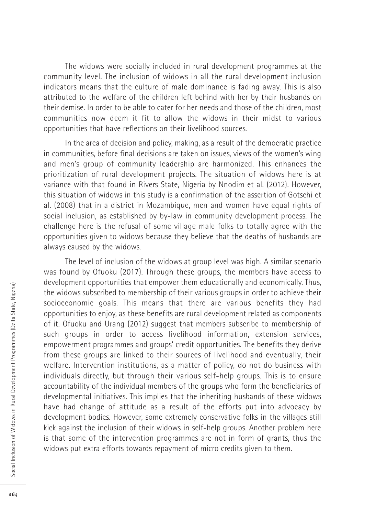The widows were socially included in rural development programmes at the community level. The inclusion of widows in all the rural development inclusion indicators means that the culture of male dominance is fading away. This is also attributed to the welfare of the children left behind with her by their husbands on their demise. In order to be able to cater for her needs and those of the children, most communities now deem it fit to allow the widows in their midst to various opportunities that have reflections on their livelihood sources.

In the area of decision and policy, making, as a result of the democratic practice in communities, before final decisions are taken on issues, views of the women's wing and men's group of community leadership are harmonized. This enhances the prioritization of rural development projects. The situation of widows here is at variance with that found in Rivers State, Nigeria by Nnodim et al. (2012). However, this situation of widows in this study is a confirmation of the assertion of Gotschi et al. (2008) that in a district in Mozambique, men and women have equal rights of social inclusion, as established by by-law in community development process. The challenge here is the refusal of some village male folks to totally agree with the opportunities given to widows because they believe that the deaths of husbands are always caused by the widows.

The level of inclusion of the widows at group level was high. A similar scenario was found by Ofuoku (2017). Through these groups, the members have access to development opportunities that empower them educationally and economically. Thus, the widows subscribed to membership of their various groups in order to achieve their socioeconomic goals. This means that there are various benefits they had opportunities to enjoy, as these benefits are rural development related as components of it. Ofuoku and Urang (2012) suggest that members subscribe to membership of such groups in order to access livelihood information, extension services, empowerment programmes and groups' credit opportunities. The benefits they derive from these groups are linked to their sources of livelihood and eventually, their welfare. Intervention institutions, as a matter of policy, do not do business with individuals directly, but through their various self-help groups. This is to ensure accountability of the individual members of the groups who form the beneficiaries of developmental initiatives. This implies that the inheriting husbands of these widows have had change of attitude as a result of the efforts put into advocacy by development bodies. However, some extremely conservative folks in the villages still kick against the inclusion of their widows in self-help groups. Another problem here is that some of the intervention programmes are not in form of grants, thus the widows put extra efforts towards repayment of micro credits given to them.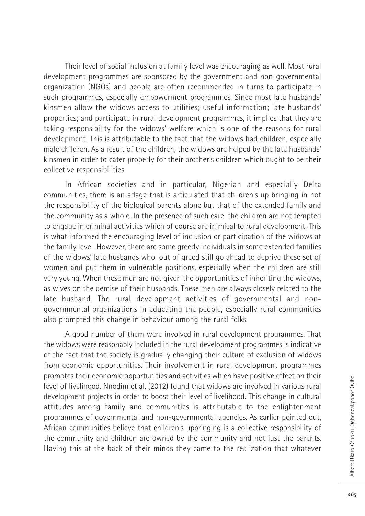Their level of social inclusion at family level was encouraging as well. Most rural development programmes are sponsored by the government and non-governmental organization (NGOs) and people are often recommended in turns to participate in such programmes, especially empowerment programmes. Since most late husbands' kinsmen allow the widows access to utilities; useful information; late husbands' properties; and participate in rural development programmes, it implies that they are taking responsibility for the widows' welfare which is one of the reasons for rural development. This is attributable to the fact that the widows had children, especially male children. As a result of the children, the widows are helped by the late husbands' kinsmen in order to cater properly for their brother's children which ought to be their collective responsibilities.

In African societies and in particular, Nigerian and especially Delta communities, there is an adage that is articulated that children's up bringing in not the responsibility of the biological parents alone but that of the extended family and the community as a whole. In the presence of such care, the children are not tempted to engage in criminal activities which of course are inimical to rural development. This is what informed the encouraging level of inclusion or participation of the widows at the family level. However, there are some greedy individuals in some extended families of the widows' late husbands who, out of greed still go ahead to deprive these set of women and put them in vulnerable positions, especially when the children are still very young. When these men are not given the opportunities of inheriting the widows, as wives on the demise of their husbands. These men are always closely related to the late husband. The rural development activities of governmental and nongovernmental organizations in educating the people, especially rural communities also prompted this change in behaviour among the rural folks.

A good number of them were involved in rural development programmes. That the widows were reasonably included in the rural development programmes is indicative of the fact that the society is gradually changing their culture of exclusion of widows from economic opportunities. Their involvement in rural development programmes promotes their economic opportunities and activities which have positive effect on their level of livelihood. Nnodim et al. (2012) found that widows are involved in various rural development projects in order to boost their level of livelihood. This change in cultural attitudes among family and communities is attributable to the enlightenment programmes of governmental and non-governmental agencies. As earlier pointed out, African communities believe that children's upbringing is a collective responsibility of the community and children are owned by the community and not just the parents. Having this at the back of their minds they came to the realization that whatever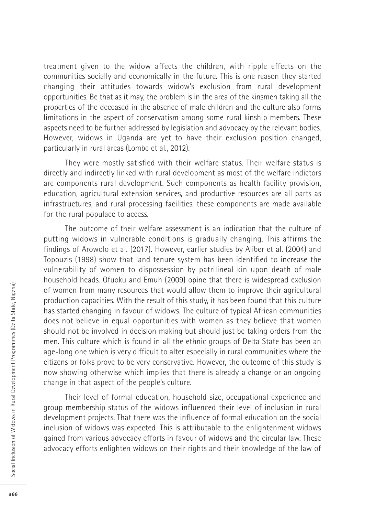treatment given to the widow affects the children, with ripple effects on the communities socially and economically in the future. This is one reason they started changing their attitudes towards widow's exclusion from rural development opportunities. Be that as it may, the problem is in the area of the kinsmen taking all the properties of the deceased in the absence of male children and the culture also forms limitations in the aspect of conservatism among some rural kinship members. These aspects need to be further addressed by legislation and advocacy by the relevant bodies. However, widows in Uganda are yet to have their exclusion position changed, particularly in rural areas (Lombe et al., 2012).

They were mostly satisfied with their welfare status. Their welfare status is directly and indirectly linked with rural development as most of the welfare indictors are components rural development. Such components as health facility provision, education, agricultural extension services, and productive resources are all parts as infrastructures, and rural processing facilities, these components are made available for the rural populace to access.

The outcome of their welfare assessment is an indication that the culture of putting widows in vulnerable conditions is gradually changing. This affirms the findings of Arowolo et al. (2017). However, earlier studies by Aliber et al. (2004) and Topouzis (1998) show that land tenure system has been identified to increase the vulnerability of women to dispossession by patrilineal kin upon death of male household heads. Ofuoku and Emuh (2009) opine that there is widespread exclusion of women from many resources that would allow them to improve their agricultural production capacities. With the result of this study, it has been found that this culture has started changing in favour of widows. The culture of typical African communities does not believe in equal opportunities with women as they believe that women should not be involved in decision making but should just be taking orders from the men. This culture which is found in all the ethnic groups of Delta State has been an age-long one which is very difficult to alter especially in rural communities where the citizens or folks prove to be very conservative. However, the outcome of this study is now showing otherwise which implies that there is already a change or an ongoing change in that aspect of the people's culture.

Their level of formal education, household size, occupational experience and group membership status of the widows influenced their level of inclusion in rural development projects. That there was the influence of formal education on the social inclusion of widows was expected. This is attributable to the enlightenment widows gained from various advocacy efforts in favour of widows and the circular law. These advocacy efforts enlighten widows on their rights and their knowledge of the law of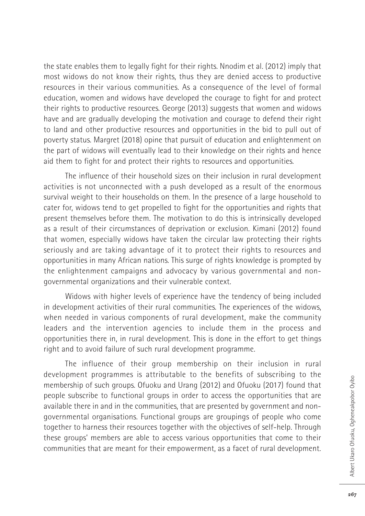the state enables them to legally fight for their rights. Nnodim et al. (2012) imply that most widows do not know their rights, thus they are denied access to productive resources in their various communities. As a consequence of the level of formal education, women and widows have developed the courage to fight for and protect their rights to productive resources. George (2013) suggests that women and widows have and are gradually developing the motivation and courage to defend their right to land and other productive resources and opportunities in the bid to pull out of poverty status. Margret (2018) opine that pursuit of education and enlightenment on the part of widows will eventually lead to their knowledge on their rights and hence aid them to fight for and protect their rights to resources and opportunities.

The influence of their household sizes on their inclusion in rural development activities is not unconnected with a push developed as a result of the enormous survival weight to their households on them. In the presence of a large household to cater for, widows tend to get propelled to fight for the opportunities and rights that present themselves before them. The motivation to do this is intrinsically developed as a result of their circumstances of deprivation or exclusion. Kimani (2012) found that women, especially widows have taken the circular law protecting their rights seriously and are taking advantage of it to protect their rights to resources and opportunities in many African nations. This surge of rights knowledge is prompted by the enlightenment campaigns and advocacy by various governmental and nongovernmental organizations and their vulnerable context.

Widows with higher levels of experience have the tendency of being included in development activities of their rural communities. The experiences of the widows, when needed in various components of rural development, make the community leaders and the intervention agencies to include them in the process and opportunities there in, in rural development. This is done in the effort to get things right and to avoid failure of such rural development programme.

The influence of their group membership on their inclusion in rural development programmes is attributable to the benefits of subscribing to the membership of such groups. Ofuoku and Urang (2012) and Ofuoku (2017) found that people subscribe to functional groups in order to access the opportunities that are available there in and in the communities, that are presented by government and nongovernmental organisations. Functional groups are groupings of people who come together to harness their resources together with the objectives of self-help. Through these groups' members are able to access various opportunities that come to their communities that are meant for their empowerment, as a facet of rural development.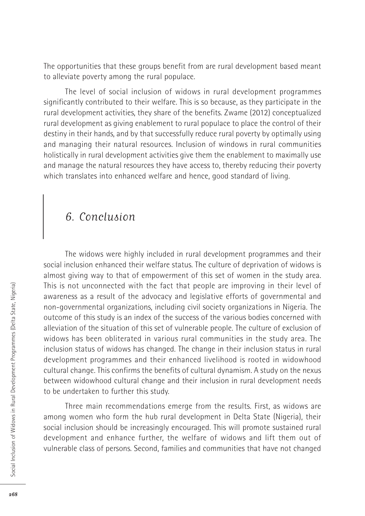The opportunities that these groups benefit from are rural development based meant to alleviate poverty among the rural populace.

The level of social inclusion of widows in rural development programmes significantly contributed to their welfare. This is so because, as they participate in the rural development activities, they share of the benefits. Zwame (2012) conceptualized rural development as giving enablement to rural populace to place the control of their destiny in their hands, and by that successfully reduce rural poverty by optimally using and managing their natural resources. Inclusion of windows in rural communities holistically in rural development activities give them the enablement to maximally use and manage the natural resources they have access to, thereby reducing their poverty which translates into enhanced welfare and hence, good standard of living.

## 6. Conclusion

The widows were highly included in rural development programmes and their social inclusion enhanced their welfare status. The culture of deprivation of widows is almost giving way to that of empowerment of this set of women in the study area. This is not unconnected with the fact that people are improving in their level of awareness as a result of the advocacy and legislative efforts of governmental and non-governmental organizations, including civil society organizations in Nigeria. The outcome of this study is an index of the success of the various bodies concerned with alleviation of the situation of this set of vulnerable people. The culture of exclusion of widows has been obliterated in various rural communities in the study area. The inclusion status of widows has changed. The change in their inclusion status in rural development programmes and their enhanced livelihood is rooted in widowhood cultural change. This confirms the benefits of cultural dynamism. A study on the nexus between widowhood cultural change and their inclusion in rural development needs to be undertaken to further this study.

Three main recommendations emerge from the results. First, as widows are among women who form the hub rural development in Delta State (Nigeria), their social inclusion should be increasingly encouraged. This will promote sustained rural development and enhance further, the welfare of widows and lift them out of vulnerable class of persons. Second, families and communities that have not changed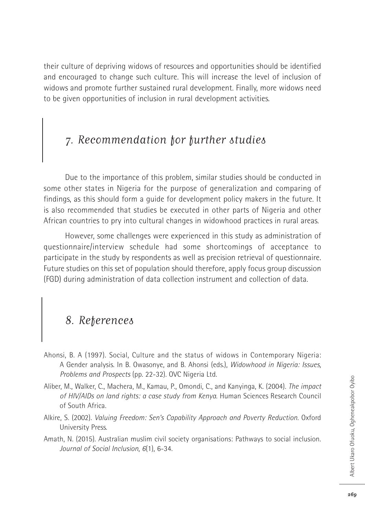their culture of depriving widows of resources and opportunities should be identified and encouraged to change such culture. This will increase the level of inclusion of widows and promote further sustained rural development. Finally, more widows need to be given opportunities of inclusion in rural development activities.

## 7. Recommendation for further studies

Due to the importance of this problem, similar studies should be conducted in some other states in Nigeria for the purpose of generalization and comparing of findings, as this should form a guide for development policy makers in the future. It is also recommended that studies be executed in other parts of Nigeria and other African countries to pry into cultural changes in widowhood practices in rural areas.

However, some challenges were experienced in this study as administration of questionnaire/interview schedule had some shortcomings of acceptance to participate in the study by respondents as well as precision retrieval of questionnaire. Future studies on this set of population should therefore, apply focus group discussion (FGD) during administration of data collection instrument and collection of data.

## 8. References

- Ahonsi, B. A (1997). Social, Culture and the status of widows in Contemporary Nigeria: A Gender analysis. In B. Owasonye, and B. Ahonsi (eds.), *Widowhood in Nigeria: Issues, Problems and Prospects* (pp. 22-32). OVC Nigeria Ltd.
- Aliber, M., Walker, C., Machera, M., Kamau, P., Omondi, C., and Kanyinga, K. (2004). *The impact of HIV/AIDs on land rights: a case study from Kenya*. Human Sciences Research Council of South Africa.
- Alkire, S. (2002). *Valuing Freedom: Sen's Capability Approach and Poverty Reduction.* Oxford University Press.
- Amath, N. (2015). Australian muslim civil society organisations: Pathways to social inclusion. *Journal of Social Inclusion*, *6*(1), 6-34.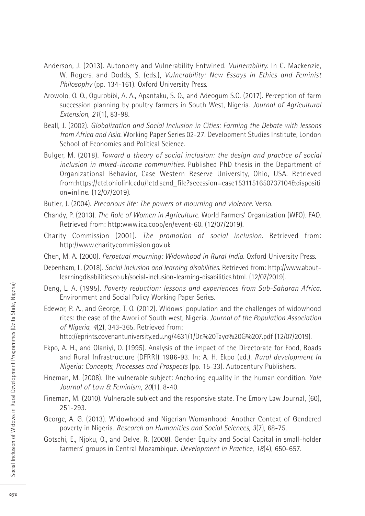- Anderson, J. (2013). Autonomy and Vulnerability Entwined. *Vulnerability*. In C. Mackenzie, W. Rogers, and Dodds, S. (eds.), *Vulnerability: New Essays in Ethics and Feminist Philosophy* (pp. 134-161). Oxford University Press.
- Arowolo, O. O., Ogurobibi, A. A., Apantaku, S. O., and Adeogum S.O. (2017). Perception of farm succession planning by poultry farmers in South West, Nigeria. *Journal of Agricultural Extension*, *21*(1), 83-98.
- Beall, J. (2002). *Globalization and Social Inclusion in Cities: Farming the Debate with lessons from Africa and Asia*. Working Paper Series 02-27. Development Studies Institute, London School of Economics and Political Science.
- Bulger, M. (2018). *Toward a theory of social inclusion: the design and practice of social inclusion in mixed-income communities*. Published PhD thesis in the Department of Organizational Behavior, Case Western Reserve University, Ohio, USA. Retrieved from:https://etd.ohiolink.edu/!etd.send\_file?accession=case1531151650737104&dispositi on=inline. (12/07/2019).
- Butler, J. (2004). *Precarious life: The powers of mourning and violence*. Verso.
- Chandy, P. (2013). *The Role of Women in Agriculture*. World Farmers' Organization (WFO). FAO. Retrieved from: http:www.ica.coop/en/event-60. (12/07/2019).
- Charity Commission (2001). *The promotion of social inclusion*. Retrieved from: http://www.charitycommission.gov.uk
- Chen, M. A. (2000). *Perpetual mourning: Widowhood in Rural India.* Oxford University Press.
- Debenham, L. (2018). *Social inclusion and learning disabilities*. Retrieved from: http://www.aboutlearningdisabilities.co.uk/social-inclusion-learning-disabilities.html. (12/07/2019).
- Deng, L. A. (1995). *Poverty reduction: lessons and experiences from Sub-Saharan Africa*. Environment and Social Policy Working Paper Series.
- Edewor, P. A., and George, T. O. (2012). Widows' population and the challenges of widowhood rites: the case of the Awori of South west, Nigeria. *Journal of the Population Association of Nigeria*, *4*(2), 343-365. Retrieved from: http://eprints.covenantuniversity.edu.ng/4631/1/Dr.%20Tayo%20G%207.pdf (12/07/2019).
- Ekpo, A. H., and Olaniyi, O. (1995). Analysis of the impact of the Directorate for Food, Roads and Rural Infrastructure (DFRRI) 1986-93. In: A. H. Ekpo (ed.), *Rural development In Nigeria: Concepts, Processes and Prospects* (pp. 15-33). Autocentury Publishers.
- Fineman, M. (2008). The vulnerable subject: Anchoring equality in the human condition. *Yale Journal of Law & Feminism*, *20*(1), 8-40.
- Fineman, M. (2010). Vulnerable subject and the responsive state. The Emory Law Journal, (60), 251-293.
- George, A. G. (2013). Widowhood and Nigerian Womanhood: Another Context of Gendered poverty in Nigeria. *Research on Humanities and Social Sciences*, *3*(7), 68-75.
- Gotschi, E., Njoku, O., and Delve, R. (2008). Gender Equity and Social Capital in small-holder farmers' groups in Central Mozambique. *Development in Practice*, *18*(4), 650-657.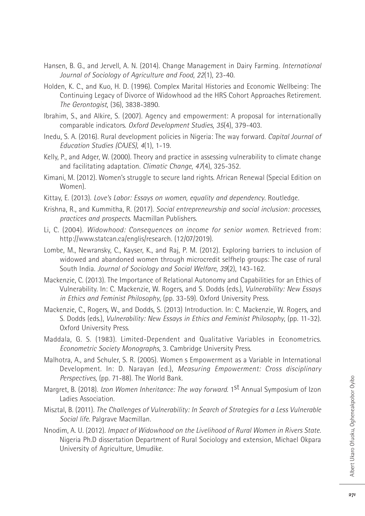- Hansen, B. G., and Jervell, A. N. (2014). Change Management in Dairy Farming. *International Journal of Sociology of Agriculture and Food*, *22*(1), 23-40.
- Holden, K. C., and Kuo, H. D. (1996). Complex Marital Histories and Economic Wellbeing: The Continuing Legacy of Divorce of Widowhood ad the HRS Cohort Approaches Retirement. *The Gerontogist*, (36), 3838-3890.
- Ibrahim, S., and Alkire, S. (2007). Agency and empowerment: A proposal for internationally comparable indicators. *Oxford Development Studies*, *35*(4), 379-403.
- Inedu, S. A. (2016). Rural development policies in Nigeria: The way forward. *Capital Journal of Education Studies (CAJES)*, *4*(1), 1-19.
- Kelly, P., and Adger, W. (2000). Theory and practice in assessing vulnerability to climate change and facilitating adaptation. *Climatic Change*, *47*(4), 325-352.
- Kimani, M. (2012). Women's struggle to secure land rights. African Renewal (Special Edition on Women).
- Kittay, E. (2013). *Love's Labor: Essays on women, equality and dependency*. Routledge.
- Krishna, R., and Kummitha, R. (2017). *Social entrepreneurship and social inclusion: processes, practices and prospects*. Macmillan Publishers.
- Li, C. (2004). *Widowhood: Consequences on income for senior women*. Retrieved from: http://www.statcan.ca/englis/research. (12/07/2019).
- Lombe, M., Newransky, C., Kayser, K., and Raj, P. M. (2012). Exploring barriers to inclusion of widowed and abandoned women through microcredit selfhelp groups: The case of rural South India. *Journal of Sociology and Social Welfare*, *39*(2), 143-162.
- Mackenzie, C. (2013). The Importance of Relational Autonomy and Capabilities for an Ethics of Vulnerability. In: C. Mackenzie, W. Rogers, and S. Dodds (eds.), *Vulnerability: New Essays in Ethics and Feminist Philosophy*, (pp. 33-59). Oxford University Press.
- Mackenzie, C., Rogers, W., and Dodds, S. (2013) Introduction. In: C. Mackenzie, W. Rogers, and S. Dodds (eds.), *Vulnerability: New Essays in Ethics and Feminist Philosophy*, (pp. 11-32). Oxford University Press.
- Maddala, G. S. (1983). Limited-Dependent and Qualitative Variables in Econometrics. *Econometric Society Monographs*, 3. Cambridge University Press.
- Malhotra, A., and Schuler, S. R. (2005). Women s Empowerment as a Variable in International Development. In: D. Narayan (ed.), *Measuring Empowerment: Cross disciplinary Perspectives*, (pp. 71-88). The World Bank.
- Margret, B. (2018). *Izon Women Inheritance: The way forward*. 1st Annual Symposium of Izon Ladies Association.
- Misztal, B. (2011). *The Challenges of Vulnerability: In Search of Strategies for a Less Vulnerable Social life*. Palgrave Macmillan.
- Nnodim, A. U. (2012). *Impact of Widowhood on the Livelihood of Rural Women in Rivers State*. Nigeria Ph.D dissertation Department of Rural Sociology and extension, Michael Okpara University of Agriculture, Umudike.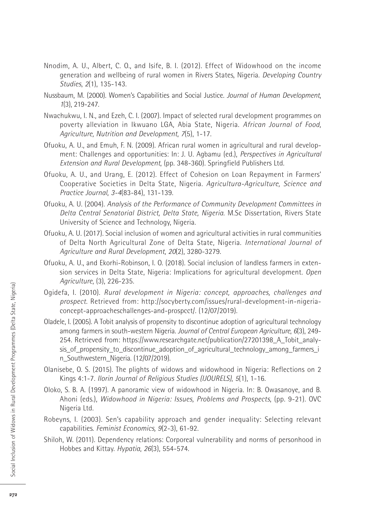- Nnodim, A. U., Albert, C. O., and Isife, B. I. (2012). Effect of Widowhood on the income generation and wellbeing of rural women in Rivers States, Nigeria. *Developing Country Studies*, *2*(1), 135-143.
- Nussbaum, M. (2000). Women's Capabilities and Social Justice. *Journal of Human Development*, *1*(3), 219-247.
- Nwachukwu, I. N., and Ezeh, C. I. (2007). Impact of selected rural development programmes on poverty alleviation in Ikwuano LGA, Abia State, Nigeria. *African Journal of Food, Agriculture, Nutrition and Development*, *7*(5), 1-17.
- Ofuoku, A. U., and Emuh, F. N. (2009). African rural women in agricultural and rural development: Challenges and opportunities: In: J. U. Agbamu (ed.), *Perspectives in Agricultural Extension and Rural Development*, (pp. 348-360). Springfield Publishers Ltd.
- Ofuoku, A. U., and Urang, E. (2012). Effect of Cohesion on Loan Repayment in Farmers' Cooperative Societies in Delta State, Nigeria. *Agricultura-Agriculture, Science and Practice Journal*, *3-4*(83-84), 131-139.
- Ofuoku, A. U. (2004). *Analysis of the Performance of Community Development Committees in Delta Central Senatorial District, Delta State, Nigeria*. M.Sc Dissertation, Rivers State University of Science and Technology, Nigeria.
- Ofuoku, A. U. (2017). Social inclusion of women and agricultural activities in rural communities of Delta North Agricultural Zone of Delta State, Nigeria. *International Journal of Agriculture and Rural Development*, *20*(2), 3280-3279.
- Ofuoku, A. U., and Ekorhi-Robinson, I. O. (2018). Social inclusion of landless farmers in extension services in Delta State, Nigeria: Implications for agricultural development. *Open Agriculture*, (3), 226-235.
- Ogidefa, I. (2010). *Rural development in Nigeria: concept, approaches, challenges and prospect*. Retrieved from: http://socyberty.com/issues/rural-development-in-nigeriaconcept-approacheschallenges-and-prospcct/. (12/07/2019).
- Oladele, I. (2005). A Tobit analysis of propensity to discontinue adoption of agricultural technology among farmers in south-western Nigeria. *Journal of Central European Agriculture*, *6*(3), 249- 254. Retrieved from: https://www.researchgate.net/publication/27201398\_A\_Tobit\_analysis\_of\_propensity\_to\_discontinue\_adoption\_of\_agricultural\_technology\_among\_farmers\_i n\_Southwestern\_Nigeria. (12/07/2019).
- Olanisebe, O. S. (2015). The plights of widows and widowhood in Nigeria: Reflections on 2 Kings 4:1-7. *Ilorin Journal of Religious Studies (IJOURELS)*, *5*(1), 1-16.
- Oloko, S. B. A. (1997). A panoramic view of widowhood in Nigeria. In: B. Owasanoye, and B. Ahoni (eds.), *Widowhood in Nigeria: Issues, Problems and Prospects*, (pp. 9-21). OVC Nigeria Ltd.
- Robeyns, I. (2003). Sen's capability approach and gender inequality: Selecting relevant capabilities. *Feminist Economics, 9*(2-3), 61-92.
- Shiloh, W. (2011). Dependency relations: Corporeal vulnerability and norms of personhood in Hobbes and Kittay. *Hypatia*, *26*(3), 554-574.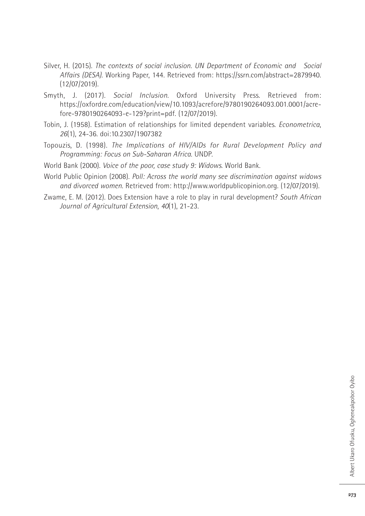- Silver, H. (2015). *The contexts of social inclusion. UN Department of Economic and Social Affairs (DESA)*. Working Paper, 144. Retrieved from: https://ssrn.com/abstract=2879940. (12/07/2019).
- Smyth, J. (2017). *Social Inclusion*. Oxford University Press. Retrieved from: https://oxfordre.com/education/view/10.1093/acrefore/9780190264093.001.0001/acrefore-9780190264093-e-129?print=pdf. (12/07/2019).
- Tobin, J. (1958). Estimation of relationships for limited dependent variables. *Econometrica*, *26*(1), 24-36. doi:10.2307/1907382
- Topouzis, D. (1998). *The Implications of HIV/AIDs for Rural Development Policy and Programming: Focus on Sub-Saharan Africa*. UNDP.
- World Bank (2000). *Voice of the poor, case study 9: Widows*. World Bank.
- World Public Opinion (2008). *Poll: Across the world many see discrimination against widows and divorced women*. Retrieved from: http://www.worldpublicopinion.org. (12/07/2019).
- Zwame, E. M. (2012). Does Extension have a role to play in rural development? *South African Journal of Agricultural Extension*, *40*(1), 21-23.